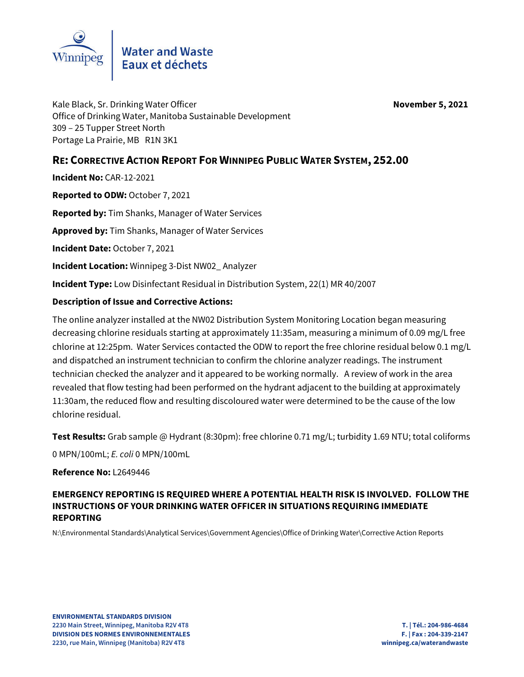

Kale Black, Sr. Drinking Water Officer **November 5, 2021** Office of Drinking Water, Manitoba Sustainable Development 309 – 25 Tupper Street North Portage La Prairie, MB R1N 3K1

# **RE: CORRECTIVE ACTION REPORT FOR WINNIPEG PUBLIC WATER SYSTEM, 252.00**

**Incident No:** CAR-12-2021

**Reported to ODW:** October 7, 2021

**Reported by:** Tim Shanks, Manager of Water Services

**Approved by:** Tim Shanks, Manager of Water Services

**Incident Date:** October 7, 2021

**Incident Location:** Winnipeg 3-Dist NW02\_ Analyzer

**Incident Type:** Low Disinfectant Residual in Distribution System, 22(1) MR 40/2007

## **Description of Issue and Corrective Actions:**

The online analyzer installed at the NW02 Distribution System Monitoring Location began measuring decreasing chlorine residuals starting at approximately 11:35am, measuring a minimum of 0.09 mg/L free chlorine at 12:25pm. Water Services contacted the ODW to report the free chlorine residual below 0.1 mg/L and dispatched an instrument technician to confirm the chlorine analyzer readings. The instrument technician checked the analyzer and it appeared to be working normally. A review of work in the area revealed that flow testing had been performed on the hydrant adjacent to the building at approximately 11:30am, the reduced flow and resulting discoloured water were determined to be the cause of the low chlorine residual.

**Test Results:** Grab sample @ Hydrant (8:30pm): free chlorine 0.71 mg/L; turbidity 1.69 NTU; total coliforms 0 MPN/100mL; *E. coli* 0 MPN/100mL

#### **Reference No: 12649446**

## **EMERGENCY REPORTING IS REQUIRED WHERE A POTENTIAL HEALTH RISK IS INVOLVED. FOLLOW THE INSTRUCTIONS OF YOUR DRINKING WATER OFFICER IN SITUATIONS REQUIRING IMMEDIATE REPORTING**

N:\Environmental Standards\Analytical Services\Government Agencies\Office of Drinking Water\Corrective Action Reports